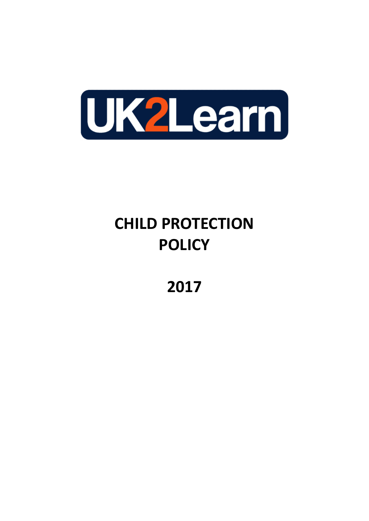

# **CHILD PROTECTION POLICY**

**2017**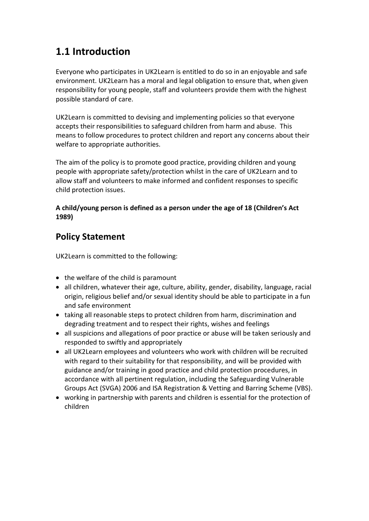# **1.1 Introduction**

Everyone who participates in UK2Learn is entitled to do so in an enjoyable and safe environment. UK2Learn has a moral and legal obligation to ensure that, when given responsibility for young people, staff and volunteers provide them with the highest possible standard of care.

UK2Learn is committed to devising and implementing policies so that everyone accepts their responsibilities to safeguard children from harm and abuse. This means to follow procedures to protect children and report any concerns about their welfare to appropriate authorities.

The aim of the policy is to promote good practice, providing children and young people with appropriate safety/protection whilst in the care of UK2Learn and to allow staff and volunteers to make informed and confident responses to specific child protection issues.

#### **A child/young person is defined as a person under the age of 18 (Children's Act 1989)**

# **Policy Statement**

UK2Learn is committed to the following:

- the welfare of the child is paramount
- all children, whatever their age, culture, ability, gender, disability, language, racial origin, religious belief and/or sexual identity should be able to participate in a fun and safe environment
- taking all reasonable steps to protect children from harm, discrimination and degrading treatment and to respect their rights, wishes and feelings
- all suspicions and allegations of poor practice or abuse will be taken seriously and responded to swiftly and appropriately
- all UK2Learn employees and volunteers who work with children will be recruited with regard to their suitability for that responsibility, and will be provided with guidance and/or training in good practice and child protection procedures, in accordance with all pertinent regulation, including the Safeguarding Vulnerable Groups Act (SVGA) 2006 and ISA Registration & Vetting and Barring Scheme (VBS).
- working in partnership with parents and children is essential for the protection of children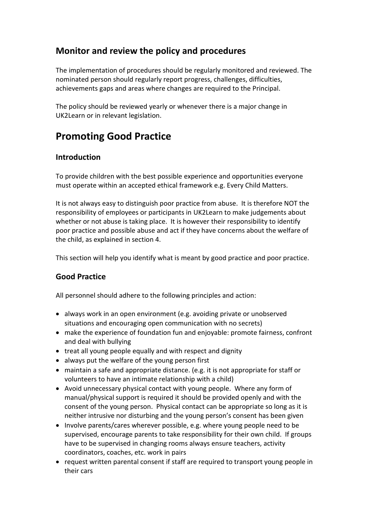## **Monitor and review the policy and procedures**

The implementation of procedures should be regularly monitored and reviewed. The nominated person should regularly report progress, challenges, difficulties, achievements gaps and areas where changes are required to the Principal.

The policy should be reviewed yearly or whenever there is a major change in UK2Learn or in relevant legislation.

# **Promoting Good Practice**

#### **Introduction**

To provide children with the best possible experience and opportunities everyone must operate within an accepted ethical framework e.g. Every Child Matters.

It is not always easy to distinguish poor practice from abuse. It is therefore NOT the responsibility of employees or participants in UK2Learn to make judgements about whether or not abuse is taking place. It is however their responsibility to identify poor practice and possible abuse and act if they have concerns about the welfare of the child, as explained in section 4.

This section will help you identify what is meant by good practice and poor practice.

#### **Good Practice**

All personnel should adhere to the following principles and action:

- always work in an open environment (e.g. avoiding private or unobserved situations and encouraging open communication with no secrets)
- make the experience of foundation fun and enjoyable: promote fairness, confront and deal with bullying
- treat all young people equally and with respect and dignity
- always put the welfare of the young person first
- maintain a safe and appropriate distance. (e.g. it is not appropriate for staff or volunteers to have an intimate relationship with a child)
- Avoid unnecessary physical contact with young people. Where any form of manual/physical support is required it should be provided openly and with the consent of the young person. Physical contact can be appropriate so long as it is neither intrusive nor disturbing and the young person's consent has been given
- Involve parents/cares wherever possible, e.g. where young people need to be supervised, encourage parents to take responsibility for their own child. If groups have to be supervised in changing rooms always ensure teachers, activity coordinators, coaches, etc. work in pairs
- request written parental consent if staff are required to transport young people in their cars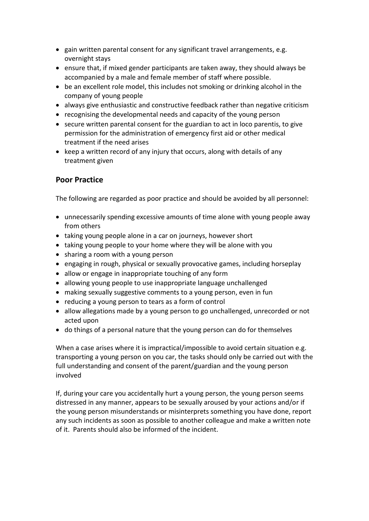- gain written parental consent for any significant travel arrangements, e.g. overnight stays
- ensure that, if mixed gender participants are taken away, they should always be accompanied by a male and female member of staff where possible.
- be an excellent role model, this includes not smoking or drinking alcohol in the company of young people
- always give enthusiastic and constructive feedback rather than negative criticism
- recognising the developmental needs and capacity of the young person
- secure written parental consent for the guardian to act in loco parentis, to give permission for the administration of emergency first aid or other medical treatment if the need arises
- keep a written record of any injury that occurs, along with details of any treatment given

#### **Poor Practice**

The following are regarded as poor practice and should be avoided by all personnel:

- unnecessarily spending excessive amounts of time alone with young people away from others
- taking young people alone in a car on journeys, however short
- taking young people to your home where they will be alone with you
- sharing a room with a young person
- engaging in rough, physical or sexually provocative games, including horseplay
- allow or engage in inappropriate touching of any form
- allowing young people to use inappropriate language unchallenged
- making sexually suggestive comments to a young person, even in fun
- reducing a young person to tears as a form of control
- allow allegations made by a young person to go unchallenged, unrecorded or not acted upon
- do things of a personal nature that the young person can do for themselves

When a case arises where it is impractical/impossible to avoid certain situation e.g. transporting a young person on you car, the tasks should only be carried out with the full understanding and consent of the parent/guardian and the young person involved

If, during your care you accidentally hurt a young person, the young person seems distressed in any manner, appears to be sexually aroused by your actions and/or if the young person misunderstands or misinterprets something you have done, report any such incidents as soon as possible to another colleague and make a written note of it. Parents should also be informed of the incident.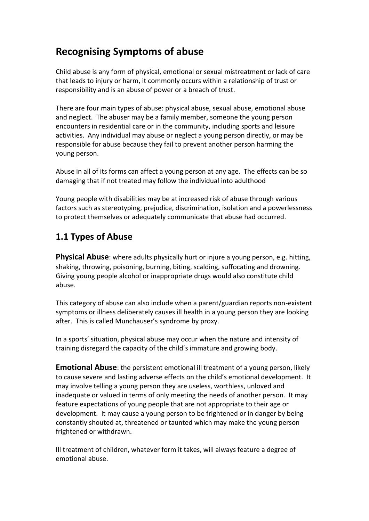# **Recognising Symptoms of abuse**

Child abuse is any form of physical, emotional or sexual mistreatment or lack of care that leads to injury or harm, it commonly occurs within a relationship of trust or responsibility and is an abuse of power or a breach of trust.

There are four main types of abuse: physical abuse, sexual abuse, emotional abuse and neglect. The abuser may be a family member, someone the young person encounters in residential care or in the community, including sports and leisure activities. Any individual may abuse or neglect a young person directly, or may be responsible for abuse because they fail to prevent another person harming the young person.

Abuse in all of its forms can affect a young person at any age. The effects can be so damaging that if not treated may follow the individual into adulthood

Young people with disabilities may be at increased risk of abuse through various factors such as stereotyping, prejudice, discrimination, isolation and a powerlessness to protect themselves or adequately communicate that abuse had occurred.

# **1.1 Types of Abuse**

**Physical Abuse**: where adults physically hurt or injure a young person, e.g. hitting, shaking, throwing, poisoning, burning, biting, scalding, suffocating and drowning. Giving young people alcohol or inappropriate drugs would also constitute child abuse.

This category of abuse can also include when a parent/guardian reports non-existent symptoms or illness deliberately causes ill health in a young person they are looking after. This is called Munchauser's syndrome by proxy.

In a sports' situation, physical abuse may occur when the nature and intensity of training disregard the capacity of the child's immature and growing body.

**Emotional Abuse**: the persistent emotional ill treatment of a young person, likely to cause severe and lasting adverse effects on the child's emotional development. It may involve telling a young person they are useless, worthless, unloved and inadequate or valued in terms of only meeting the needs of another person. It may feature expectations of young people that are not appropriate to their age or development. It may cause a young person to be frightened or in danger by being constantly shouted at, threatened or taunted which may make the young person frightened or withdrawn.

Ill treatment of children, whatever form it takes, will always feature a degree of emotional abuse.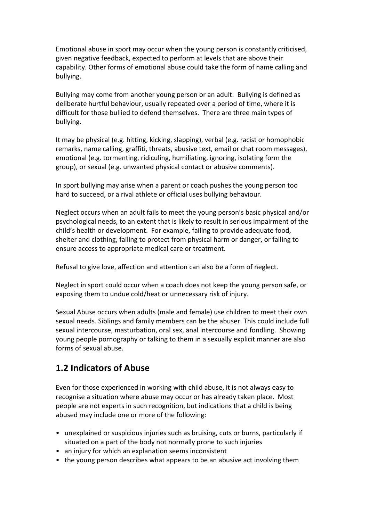Emotional abuse in sport may occur when the young person is constantly criticised, given negative feedback, expected to perform at levels that are above their capability. Other forms of emotional abuse could take the form of name calling and bullying.

Bullying may come from another young person or an adult. Bullying is defined as deliberate hurtful behaviour, usually repeated over a period of time, where it is difficult for those bullied to defend themselves. There are three main types of bullying.

It may be physical (e.g. hitting, kicking, slapping), verbal (e.g. racist or homophobic remarks, name calling, graffiti, threats, abusive text, email or chat room messages), emotional (e.g. tormenting, ridiculing, humiliating, ignoring, isolating form the group), or sexual (e.g. unwanted physical contact or abusive comments).

In sport bullying may arise when a parent or coach pushes the young person too hard to succeed, or a rival athlete or official uses bullying behaviour.

Neglect occurs when an adult fails to meet the young person's basic physical and/or psychological needs, to an extent that is likely to result in serious impairment of the child's health or development. For example, failing to provide adequate food, shelter and clothing, failing to protect from physical harm or danger, or failing to ensure access to appropriate medical care or treatment.

Refusal to give love, affection and attention can also be a form of neglect.

Neglect in sport could occur when a coach does not keep the young person safe, or exposing them to undue cold/heat or unnecessary risk of injury.

Sexual Abuse occurs when adults (male and female) use children to meet their own sexual needs. Siblings and family members can be the abuser. This could include full sexual intercourse, masturbation, oral sex, anal intercourse and fondling. Showing young people pornography or talking to them in a sexually explicit manner are also forms of sexual abuse.

## **1.2 Indicators of Abuse**

Even for those experienced in working with child abuse, it is not always easy to recognise a situation where abuse may occur or has already taken place. Most people are not experts in such recognition, but indications that a child is being abused may include one or more of the following:

- unexplained or suspicious injuries such as bruising, cuts or burns, particularly if situated on a part of the body not normally prone to such injuries
- an injury for which an explanation seems inconsistent
- the young person describes what appears to be an abusive act involving them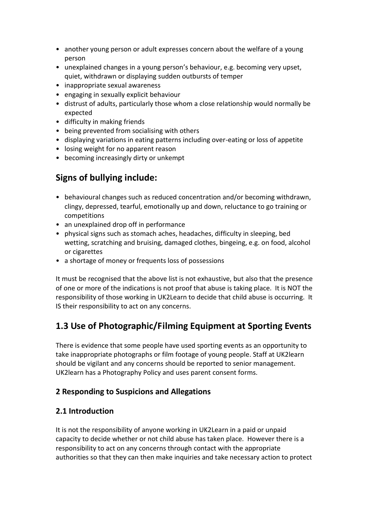- another young person or adult expresses concern about the welfare of a young person
- unexplained changes in a young person's behaviour, e.g. becoming very upset, quiet, withdrawn or displaying sudden outbursts of temper
- inappropriate sexual awareness
- engaging in sexually explicit behaviour
- distrust of adults, particularly those whom a close relationship would normally be expected
- difficulty in making friends
- being prevented from socialising with others
- displaying variations in eating patterns including over-eating or loss of appetite
- losing weight for no apparent reason
- becoming increasingly dirty or unkempt

# **Signs of bullying include:**

- behavioural changes such as reduced concentration and/or becoming withdrawn, clingy, depressed, tearful, emotionally up and down, reluctance to go training or competitions
- an unexplained drop off in performance
- physical signs such as stomach aches, headaches, difficulty in sleeping, bed wetting, scratching and bruising, damaged clothes, bingeing, e.g. on food, alcohol or cigarettes
- a shortage of money or frequents loss of possessions

It must be recognised that the above list is not exhaustive, but also that the presence of one or more of the indications is not proof that abuse is taking place. It is NOT the responsibility of those working in UK2Learn to decide that child abuse is occurring. It IS their responsibility to act on any concerns.

# **1.3 Use of Photographic/Filming Equipment at Sporting Events**

There is evidence that some people have used sporting events as an opportunity to take inappropriate photographs or film footage of young people. Staff at UK2learn should be vigilant and any concerns should be reported to senior management. UK2learn has a Photography Policy and uses parent consent forms.

#### **2 Responding to Suspicions and Allegations**

#### **2.1 Introduction**

It is not the responsibility of anyone working in UK2Learn in a paid or unpaid capacity to decide whether or not child abuse has taken place. However there is a responsibility to act on any concerns through contact with the appropriate authorities so that they can then make inquiries and take necessary action to protect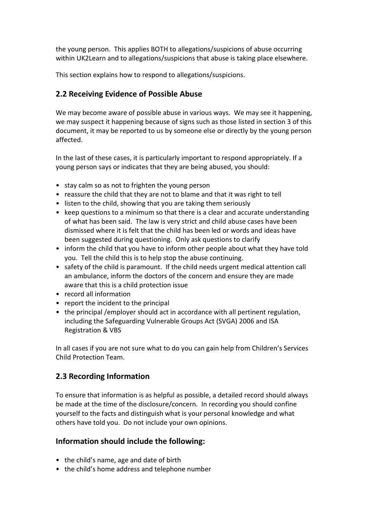the young person. This applies BOTH to allegations/suspicions of abuse occurring within UK2Learn and to allegations/suspicions that abuse is taking place elsewhere.

This section explains how to respond to allegations/suspicions.

#### **2.2 Receiving Evidence of Possible Abuse**

We may become aware of possible abuse in various ways. We may see it happening, we may suspect it happening because of signs such as those listed in section 3 of this document, it may be reported to us by someone else or directly by the young person affected.

In the last of these cases, it is particularly important to respond appropriately. If a young person says or indicates that they are being abused, you should:

- stay calm so as not to frighten the young person
- reassure the child that they are not to blame and that it was right to tell
- listen to the child, showing that you are taking them seriously
- keep questions to a minimum so that there is a clear and accurate understanding of what has been said. The law is very strict and child abuse cases have been dismissed where it is felt that the child has been led or words and ideas have been suggested during questioning. Only ask questions to clarify
- inform the child that you have to inform other people about what they have told you. Tell the child this is to help stop the abuse continuing.
- safety of the child is paramount. If the child needs urgent medical attention call an ambulance, inform the doctors of the concern and ensure they are made aware that this is a child protection issue
- record all information
- report the incident to the principal
- the principal /employer should act in accordance with all pertinent regulation, including the Safeguarding Vulnerable Groups Act (SVGA) 2006 and ISA Registration & VBS

In all cases if you are not sure what to do you can gain help from Children's Services Child Protection Team.

#### **2.3 Recording Information**

To ensure that information is as helpful as possible, a detailed record should always be made at the time of the disclosure/concern. In recording you should confine yourself to the facts and distinguish what is your personal knowledge and what others have told you. Do not include your own opinions.

#### **Information should include the following:**

- the child's name, age and date of birth
- the child's home address and telephone number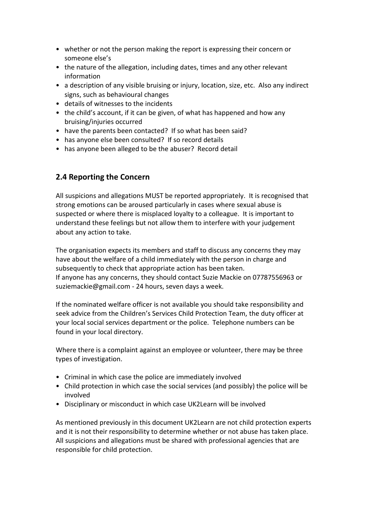- whether or not the person making the report is expressing their concern or someone else's
- the nature of the allegation, including dates, times and any other relevant information
- a description of any visible bruising or injury, location, size, etc. Also any indirect signs, such as behavioural changes
- details of witnesses to the incidents
- the child's account, if it can be given, of what has happened and how any bruising/injuries occurred
- have the parents been contacted? If so what has been said?
- has anyone else been consulted? If so record details
- has anyone been alleged to be the abuser? Record detail

## **2.4 Reporting the Concern**

All suspicions and allegations MUST be reported appropriately. It is recognised that strong emotions can be aroused particularly in cases where sexual abuse is suspected or where there is misplaced loyalty to a colleague. It is important to understand these feelings but not allow them to interfere with your judgement about any action to take.

The organisation expects its members and staff to discuss any concerns they may have about the welfare of a child immediately with the person in charge and subsequently to check that appropriate action has been taken. If anyone has any concerns, they should contact Suzie Mackie on 07787556963 or suziemackie@gmail.com - 24 hours, seven days a week.

If the nominated welfare officer is not available you should take responsibility and seek advice from the Children's Services Child Protection Team, the duty officer at your local social services department or the police. Telephone numbers can be found in your local directory.

Where there is a complaint against an employee or volunteer, there may be three types of investigation.

- Criminal in which case the police are immediately involved
- Child protection in which case the social services (and possibly) the police will be involved
- Disciplinary or misconduct in which case UK2Learn will be involved

As mentioned previously in this document UK2Learn are not child protection experts and it is not their responsibility to determine whether or not abuse has taken place. All suspicions and allegations must be shared with professional agencies that are responsible for child protection.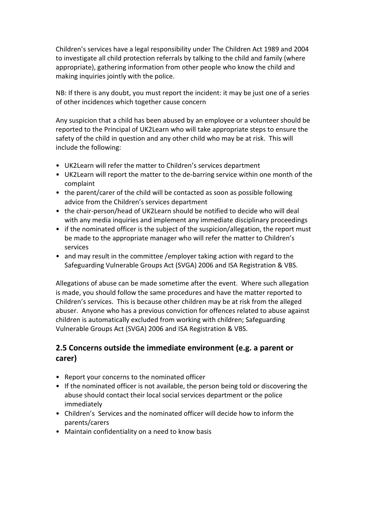Children's services have a legal responsibility under The Children Act 1989 and 2004 to investigate all child protection referrals by talking to the child and family (where appropriate), gathering information from other people who know the child and making inquiries jointly with the police.

NB: If there is any doubt, you must report the incident: it may be just one of a series of other incidences which together cause concern

Any suspicion that a child has been abused by an employee or a volunteer should be reported to the Principal of UK2Learn who will take appropriate steps to ensure the safety of the child in question and any other child who may be at risk. This will include the following:

- UK2Learn will refer the matter to Children's services department
- UK2Learn will report the matter to the de-barring service within one month of the complaint
- the parent/carer of the child will be contacted as soon as possible following advice from the Children's services department
- the chair-person/head of UK2Learn should be notified to decide who will deal with any media inquiries and implement any immediate disciplinary proceedings
- if the nominated officer is the subject of the suspicion/allegation, the report must be made to the appropriate manager who will refer the matter to Children's services
- and may result in the committee /employer taking action with regard to the Safeguarding Vulnerable Groups Act (SVGA) 2006 and ISA Registration & VBS.

Allegations of abuse can be made sometime after the event. Where such allegation is made, you should follow the same procedures and have the matter reported to Children's services. This is because other children may be at risk from the alleged abuser. Anyone who has a previous conviction for offences related to abuse against children is automatically excluded from working with children; Safeguarding Vulnerable Groups Act (SVGA) 2006 and ISA Registration & VBS.

#### **2.5 Concerns outside the immediate environment (e.g. a parent or carer)**

- Report your concerns to the nominated officer
- If the nominated officer is not available, the person being told or discovering the abuse should contact their local social services department or the police immediately
- Children's Services and the nominated officer will decide how to inform the parents/carers
- Maintain confidentiality on a need to know basis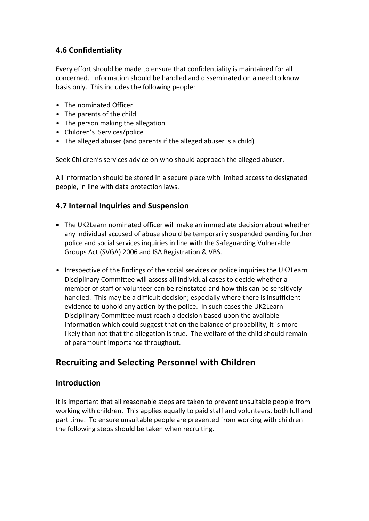#### **4.6 Confidentiality**

Every effort should be made to ensure that confidentiality is maintained for all concerned. Information should be handled and disseminated on a need to know basis only. This includes the following people:

- The nominated Officer
- The parents of the child
- The person making the allegation
- Children's Services/police
- The alleged abuser (and parents if the alleged abuser is a child)

Seek Children's services advice on who should approach the alleged abuser.

All information should be stored in a secure place with limited access to designated people, in line with data protection laws.

#### **4.7 Internal Inquiries and Suspension**

- The UK2Learn nominated officer will make an immediate decision about whether any individual accused of abuse should be temporarily suspended pending further police and social services inquiries in line with the Safeguarding Vulnerable Groups Act (SVGA) 2006 and ISA Registration & VBS.
- Irrespective of the findings of the social services or police inquiries the UK2Learn Disciplinary Committee will assess all individual cases to decide whether a member of staff or volunteer can be reinstated and how this can be sensitively handled. This may be a difficult decision; especially where there is insufficient evidence to uphold any action by the police. In such cases the UK2Learn Disciplinary Committee must reach a decision based upon the available information which could suggest that on the balance of probability, it is more likely than not that the allegation is true. The welfare of the child should remain of paramount importance throughout.

# **Recruiting and Selecting Personnel with Children**

#### **Introduction**

It is important that all reasonable steps are taken to prevent unsuitable people from working with children. This applies equally to paid staff and volunteers, both full and part time. To ensure unsuitable people are prevented from working with children the following steps should be taken when recruiting.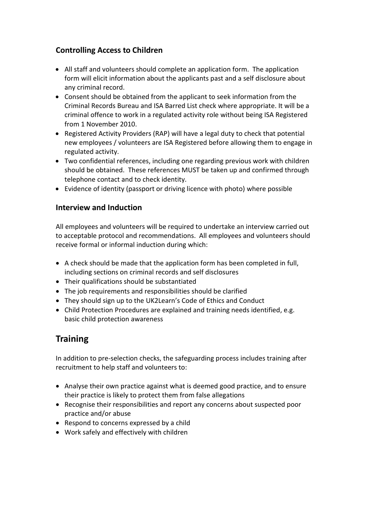#### **Controlling Access to Children**

- All staff and volunteers should complete an application form. The application form will elicit information about the applicants past and a self disclosure about any criminal record.
- Consent should be obtained from the applicant to seek information from the Criminal Records Bureau and ISA Barred List check where appropriate. It will be a criminal offence to work in a regulated activity role without being ISA Registered from 1 November 2010.
- Registered Activity Providers (RAP) will have a legal duty to check that potential new employees / volunteers are ISA Registered before allowing them to engage in regulated activity.
- Two confidential references, including one regarding previous work with children should be obtained. These references MUST be taken up and confirmed through telephone contact and to check identity.
- Evidence of identity (passport or driving licence with photo) where possible

#### **Interview and Induction**

All employees and volunteers will be required to undertake an interview carried out to acceptable protocol and recommendations. All employees and volunteers should receive formal or informal induction during which:

- A check should be made that the application form has been completed in full, including sections on criminal records and self disclosures
- Their qualifications should be substantiated
- The job requirements and responsibilities should be clarified
- They should sign up to the UK2Learn's Code of Ethics and Conduct
- Child Protection Procedures are explained and training needs identified, e.g. basic child protection awareness

# **Training**

In addition to pre-selection checks, the safeguarding process includes training after recruitment to help staff and volunteers to:

- Analyse their own practice against what is deemed good practice, and to ensure their practice is likely to protect them from false allegations
- Recognise their responsibilities and report any concerns about suspected poor practice and/or abuse
- Respond to concerns expressed by a child
- Work safely and effectively with children